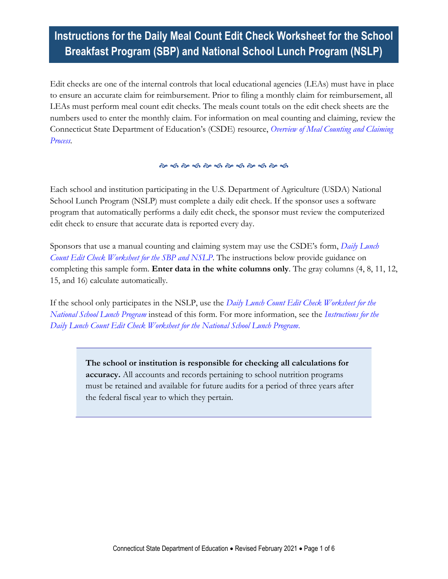# **Instructions for the Daily Meal Count Edit Check Worksheet for the School Breakfast Program (SBP) and National School Lunch Program (NSLP)**

Edit checks are one of the internal controls that local educational agencies (LEAs) must have in place to ensure an accurate claim for reimbursement. Prior to filing a monthly claim for reimbursement, all LEAs must perform meal count edit checks. The meals count totals on the edit check sheets are the numbers used to enter the monthly claim. For information on meal counting and claiming, review the Connecticut State Department of Education's (CSDE) resource, *[Overview of Meal Counting and Claiming](https://portal.ct.gov/-/media/SDE/Nutrition/NSLP/Forms/MealCount/MealCountingClaimingSNP.pdf)  [Process.](https://portal.ct.gov/-/media/SDE/Nutrition/NSLP/Forms/MealCount/MealCountingClaimingSNP.pdf)*

#### 

Each school and institution participating in the U.S. Department of Agriculture (USDA) National School Lunch Program (NSLP) must complete a daily edit check. If the sponsor uses a software program that automatically performs a daily edit check, the sponsor must review the computerized edit check to ensure that accurate data is reported every day.

Sponsors that use a manual counting and claiming system may use the CSDE's form, *[Daily Lunch](https://portal.ct.gov/-/media/SDE/Nutrition/NSLP/Forms/MealCount/Edit_Check_Worksheet_Breakfast_Lunch.xlsx)  [Count Edit Check Worksheet for the SBP and NSLP](https://portal.ct.gov/-/media/SDE/Nutrition/NSLP/Forms/MealCount/Edit_Check_Worksheet_Breakfast_Lunch.xlsx)*. The instructions below provide guidance on completing this sample form. **Enter data in the white columns only**. The gray columns (4, 8, 11, 12, 15, and 16) calculate automatically.

If the school only participates in the NSLP, use the *[Daily Lunch Count Edit Check Worksheet for the](https://portal.ct.gov/-/media/SDE/Nutrition/NSLP/Forms/MealCount/Edit_Check_Worksheet_Lunch.xlsx)  [National School Lunch Program](https://portal.ct.gov/-/media/SDE/Nutrition/NSLP/Forms/MealCount/Edit_Check_Worksheet_Lunch.xlsx)* instead of this form. For more information, see the *[Instructions for the](https://portal.ct.gov/-/media/SDE/Nutrition/NSLP/Forms/MealCount/Edit_Check_Worksheet_Lunch_Instructions.pdf)  [Daily Lunch Count Edit Check Worksheet for the National School Lunch Program](https://portal.ct.gov/-/media/SDE/Nutrition/NSLP/Forms/MealCount/Edit_Check_Worksheet_Lunch_Instructions.pdf)*.

> **The school or institution is responsible for checking all calculations for accuracy.** All accounts and records pertaining to school nutrition programs must be retained and available for future audits for a period of three years after the federal fiscal year to which they pertain.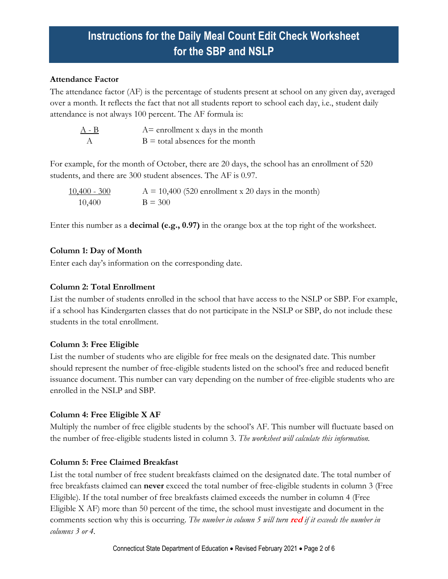#### **Attendance Factor**

The attendance factor (AF) is the percentage of students present at school on any given day, averaged over a month. It reflects the fact that not all students report to school each day, i.e., student daily attendance is not always 100 percent. The AF formula is:

| $A - B$ | $A =$ enrollment x days in the month |
|---------|--------------------------------------|
|         | $B =$ total absences for the month   |

For example, for the month of October, there are 20 days, the school has an enrollment of 520 students, and there are 300 student absences. The AF is 0.97.

 $10,400 - 300$  A = 10,400 (520 enrollment x 20 days in the month)  $10,400$  B = 300

Enter this number as a **decimal (e.g., 0.97)** in the orange box at the top right of the worksheet.

## **Column 1: Day of Month**

Enter each day's information on the corresponding date.

### **Column 2: Total Enrollment**

List the number of students enrolled in the school that have access to the NSLP or SBP. For example, if a school has Kindergarten classes that do not participate in the NSLP or SBP, do not include these students in the total enrollment.

## **Column 3: Free Eligible**

List the number of students who are eligible for free meals on the designated date. This number should represent the number of free-eligible students listed on the school's free and reduced benefit issuance document. This number can vary depending on the number of free-eligible students who are enrolled in the NSLP and SBP.

## **Column 4: Free Eligible X AF**

Multiply the number of free eligible students by the school's AF. This number will fluctuate based on the number of free-eligible students listed in column 3. *The worksheet will calculate this information.*

## **Column 5: Free Claimed Breakfast**

List the total number of free student breakfasts claimed on the designated date. The total number of free breakfasts claimed can **never** exceed the total number of free-eligible students in column 3 (Free Eligible). If the total number of free breakfasts claimed exceeds the number in column 4 (Free Eligible X AF) more than 50 percent of the time, the school must investigate and document in the comments section why this is occurring. *The number in column 5 will turn* **red** *if it exceeds the number in columns 3 or 4.*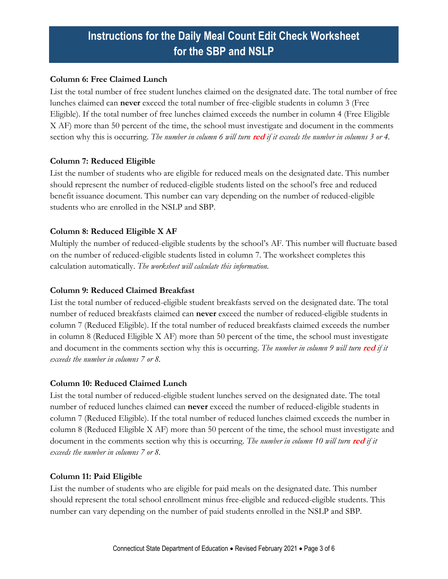#### **Column 6: Free Claimed Lunch**

List the total number of free student lunches claimed on the designated date. The total number of free lunches claimed can **never** exceed the total number of free-eligible students in column 3 (Free Eligible). If the total number of free lunches claimed exceeds the number in column 4 (Free Eligible X AF) more than 50 percent of the time, the school must investigate and document in the comments section why this is occurring. *The number in column 6 will turn* **red** *if it exceeds the number in columns 3 or 4.*

## **Column 7: Reduced Eligible**

List the number of students who are eligible for reduced meals on the designated date. This number should represent the number of reduced-eligible students listed on the school's free and reduced benefit issuance document. This number can vary depending on the number of reduced-eligible students who are enrolled in the NSLP and SBP.

## **Column 8: Reduced Eligible X AF**

Multiply the number of reduced-eligible students by the school's AF. This number will fluctuate based on the number of reduced-eligible students listed in column 7. The worksheet completes this calculation automatically. *The worksheet will calculate this information.*

## **Column 9: Reduced Claimed Breakfast**

List the total number of reduced-eligible student breakfasts served on the designated date. The total number of reduced breakfasts claimed can **never** exceed the number of reduced-eligible students in column 7 (Reduced Eligible). If the total number of reduced breakfasts claimed exceeds the number in column 8 (Reduced Eligible X AF) more than 50 percent of the time, the school must investigate and document in the comments section why this is occurring. *The number in column 9 will turn* **red** *if it exceeds the number in columns 7 or 8.*

## **Column 10: Reduced Claimed Lunch**

List the total number of reduced-eligible student lunches served on the designated date. The total number of reduced lunches claimed can **never** exceed the number of reduced-eligible students in column 7 (Reduced Eligible). If the total number of reduced lunches claimed exceeds the number in column 8 (Reduced Eligible X AF) more than 50 percent of the time, the school must investigate and document in the comments section why this is occurring. *The number in column 10 will turn* **red** *if it exceeds the number in columns 7 or 8.*

## **Column 11: Paid Eligible**

List the number of students who are eligible for paid meals on the designated date. This number should represent the total school enrollment minus free-eligible and reduced-eligible students. This number can vary depending on the number of paid students enrolled in the NSLP and SBP.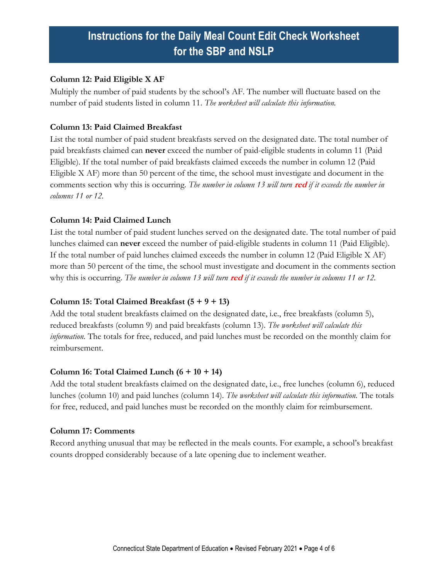#### **Column 12: Paid Eligible X AF**

Multiply the number of paid students by the school's AF. The number will fluctuate based on the number of paid students listed in column 11. *The worksheet will calculate this information.*

### **Column 13: Paid Claimed Breakfast**

List the total number of paid student breakfasts served on the designated date. The total number of paid breakfasts claimed can **never** exceed the number of paid-eligible students in column 11 (Paid Eligible). If the total number of paid breakfasts claimed exceeds the number in column 12 (Paid Eligible X AF) more than 50 percent of the time, the school must investigate and document in the comments section why this is occurring. *The number in column 13 will turn* **red** *if it exceeds the number in columns 11 or 12.*

### **Column 14: Paid Claimed Lunch**

List the total number of paid student lunches served on the designated date. The total number of paid lunches claimed can **never** exceed the number of paid-eligible students in column 11 (Paid Eligible). If the total number of paid lunches claimed exceeds the number in column 12 (Paid Eligible X AF) more than 50 percent of the time, the school must investigate and document in the comments section why this is occurring. *The number in column 13 will turn* **red** *if it exceeds the number in columns 11 or 12.*

#### **Column 15: Total Claimed Breakfast (5 + 9 + 13)**

Add the total student breakfasts claimed on the designated date, i.e., free breakfasts (column 5), reduced breakfasts (column 9) and paid breakfasts (column 13). *The worksheet will calculate this information.* The totals for free, reduced, and paid lunches must be recorded on the monthly claim for reimbursement.

#### **Column 16: Total Claimed Lunch (6 + 10 + 14)**

Add the total student breakfasts claimed on the designated date, i.e., free lunches (column 6), reduced lunches (column 10) and paid lunches (column 14). *The worksheet will calculate this information.* The totals for free, reduced, and paid lunches must be recorded on the monthly claim for reimbursement.

#### **Column 17: Comments**

Record anything unusual that may be reflected in the meals counts. For example, a school's breakfast counts dropped considerably because of a late opening due to inclement weather.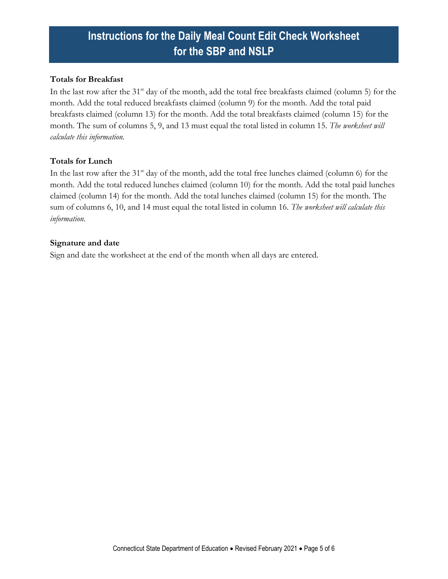#### **Totals for Breakfast**

In the last row after the 31<sup>st</sup> day of the month, add the total free breakfasts claimed (column 5) for the month. Add the total reduced breakfasts claimed (column 9) for the month. Add the total paid breakfasts claimed (column 13) for the month. Add the total breakfasts claimed (column 15) for the month. The sum of columns 5, 9, and 13 must equal the total listed in column 15. *The worksheet will calculate this information.*

#### **Totals for Lunch**

In the last row after the 31<sup>st</sup> day of the month, add the total free lunches claimed (column 6) for the month. Add the total reduced lunches claimed (column 10) for the month. Add the total paid lunches claimed (column 14) for the month. Add the total lunches claimed (column 15) for the month. The sum of columns 6, 10, and 14 must equal the total listed in column 16. *The worksheet will calculate this information.*

#### **Signature and date**

Sign and date the worksheet at the end of the month when all days are entered.